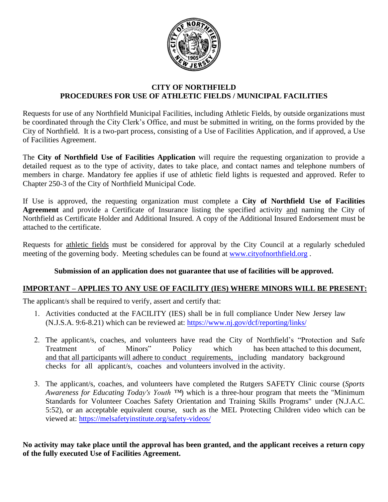

## **CITY OF NORTHFIELD PROCEDURES FOR USE OF ATHLETIC FIELDS / MUNICIPAL FACILITIES**

Requests for use of any Northfield Municipal Facilities, including Athletic Fields, by outside organizations must be coordinated through the City Clerk's Office, and must be submitted in writing, on the forms provided by the City of Northfield. It is a two-part process, consisting of a Use of Facilities Application, and if approved, a Use of Facilities Agreement.

The **City of Northfield Use of Facilities Application** will require the requesting organization to provide a detailed request as to the type of activity, dates to take place, and contact names and telephone numbers of members in charge. Mandatory fee applies if use of athletic field lights is requested and approved. Refer to Chapter 250-3 of the City of Northfield Municipal Code.

If Use is approved, the requesting organization must complete a **City of Northfield Use of Facilities Agreement** and provide a Certificate of Insurance listing the specified activity and naming the City of Northfield as Certificate Holder and Additional Insured. A copy of the Additional Insured Endorsement must be attached to the certificate.

Requests for athletic fields must be considered for approval by [the City Council at a re](http://www.cityofnorthfield.org/)gularly scheduled meeting of the governing body. Meeting schedules can be found at www.cityofnorthfield.org .

#### **Submission of an application does not guarantee that use of facilities will be approved.**

# **IMPORTANT – APPLIES TO ANY USE OF FACILITY (IES) WHERE MINORS WILL BE PRESENT:**

The applicant/s shall be required to verify, assert and certify that:

- 1. Activities conducted at the FACILITY (IES) shall be in full compliance Under New Jersey law (N.J.S.A. 9:6-8.21) which can be reviewed at: https://www.nj.gov/dcf/reporting/links/
- 2. The applicant/s, coaches, and volunteers have read the City of Northfield's "Protection and Safe Treatment of Minors" Policy which has been attached to this document, and that all participants will adhere to conduct requirements, including mandatory background [checks for all applicant/s, coache](https://melsafetyinstitute.org/safety-videos/)s and volunteers involved in the activity.
- 3. The applicant/s, coaches, and volunteers have completed the Rutgers SAFETY Clinic course (*Sports Awareness for Educating Today's Youth ™*) which is a three-hour program that meets the "Minimum Standards for Volunteer Coaches Safety Orientation and Training Skills Programs" under (N.J.A.C. 5:52), or an acceptable [equivalent course, such as the M](https://ecode360.com/documents/NO0505/public/611379873.pdf)EL Protecting Children video which can be viewed at: https://melsafetyinstitute.org/safety-videos/

**No activity may take place until the approval has been granted, and the applicant receives a return copy of the fully executed Use of Facilities Agreement.**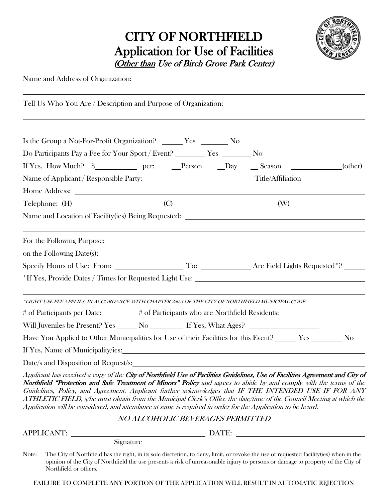# CITY OF NORTHFIELD Application for Use of Facilities (Other than Use of Birch Grove Park Center)



Name and Address of Organization:

Tell Us Who You Are / Description and Purpose of Organization: Is the Group a Not-For-Profit Organization? \_\_\_\_\_\_\_ Yes \_\_\_\_\_\_\_\_\_ No Do Participants Pay a Fee for Your Sport / Event? Ves No If Yes, How Much? \$\_\_\_\_\_\_\_\_\_\_\_\_ per: \_\_\_\_Person \_\_\_\_Day \_\_\_\_Season \_\_\_\_\_\_\_\_\_\_\_\_\_(other) Name of Applicant / Responsible Party: Title/Affiliation Home Address:  $\text{Telephone: (H)}$  (C) (C) (W) Name and Location of Facility(ies) Being Requested: For the Following Purpose: on the Following Date(s): Specify Hours of Use: From: To: Are Field Lights Requested<sup>\*?</sup> \*If Yes, Provide Dates / Times for Requested Light Use: \*LIGHT USE FEE APPLIES, IN ACCORDANCE WITH CHAPTER 250-3 OF THE CITY OF NORTHFIELD MUNICIPAL CODE # of Participants per Date: \_\_\_\_\_\_\_ # of Participants who are Northfield Residents: \_\_\_\_\_\_\_\_\_ Will Juveniles be Present? Yes No If Yes, What Ages? Have You Applied to Other Municipalities for Use of their Facilities for this Event? Ves Ves No If Yes, Name of Municipality/ies: Date/s and Disposition of Request/s: Applicant has received a copy of the City of Northfield Use of Facilities Guidelines, Use of Facilities Agreement and City of Northfield "Protection and Safe Treatment of Minors" Policy and agrees to abide by and comply with the terms of the Guidelines, Policy, and Agreement. Applicant further acknowledges that IF THE INTENDED USE IF FOR ANY ATHLETIC FIELD, s/he must obtain from the Municipal Clerk's Office the date/time of the Council Meeting at which the Application will be considered, and attendance at same is required in order for the Application to be heard. NO ALCOHOLIC BEVERAGES PERMITTED APPLICANT: DATE:

Signature

Note: The City of Northfield has the right, in its sole discretion, to deny, limit, or revoke the use of requested facility(ies) when in the opinion of the City of Northfield the use presents a risk of unreasonable injury to persons or damage to property of the City of Northfield or others.

FAILURE TO COMPLETE ANY PORTION OF THE APPLICATION WILL RESULT IN AUTOMATIC REJECTION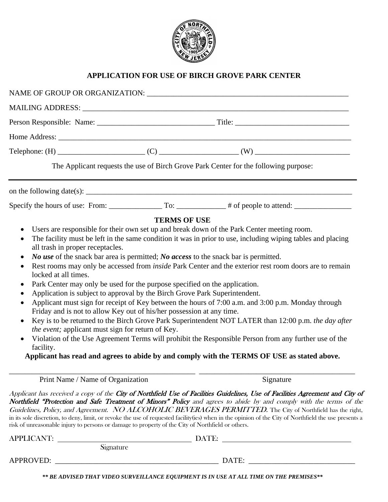

# **APPLICATION FOR USE OF BIRCH GROVE PARK CENTER**

|                                                                                                                                                                                                                                                                                                                                                                                                                                                                                                                                                 |                     | The Applicant requests the use of Birch Grove Park Center for the following purpose:                                                                                                                                                                                                                                                                                                                                                                                                                                                                                                                                                               |
|-------------------------------------------------------------------------------------------------------------------------------------------------------------------------------------------------------------------------------------------------------------------------------------------------------------------------------------------------------------------------------------------------------------------------------------------------------------------------------------------------------------------------------------------------|---------------------|----------------------------------------------------------------------------------------------------------------------------------------------------------------------------------------------------------------------------------------------------------------------------------------------------------------------------------------------------------------------------------------------------------------------------------------------------------------------------------------------------------------------------------------------------------------------------------------------------------------------------------------------------|
|                                                                                                                                                                                                                                                                                                                                                                                                                                                                                                                                                 |                     |                                                                                                                                                                                                                                                                                                                                                                                                                                                                                                                                                                                                                                                    |
|                                                                                                                                                                                                                                                                                                                                                                                                                                                                                                                                                 |                     |                                                                                                                                                                                                                                                                                                                                                                                                                                                                                                                                                                                                                                                    |
|                                                                                                                                                                                                                                                                                                                                                                                                                                                                                                                                                 | <b>TERMS OF USE</b> |                                                                                                                                                                                                                                                                                                                                                                                                                                                                                                                                                                                                                                                    |
| ٠<br>all trash in proper receptacles.<br><i>No use</i> of the snack bar area is permitted; <i>No access</i> to the snack bar is permitted.<br>$\bullet$<br>٠<br>locked at all times.<br>Park Center may only be used for the purpose specified on the application.<br>$\bullet$<br>Application is subject to approval by the Birch Grove Park Superintendent.<br>$\bullet$<br>$\bullet$<br>Friday and is not to allow Key out of his/her possession at any time.<br>$\bullet$<br>the event; applicant must sign for return of Key.<br>facility. |                     | The facility must be left in the same condition it was in prior to use, including wiping tables and placing<br>Rest rooms may only be accessed from <i>inside</i> Park Center and the exterior rest room doors are to remain<br>Applicant must sign for receipt of Key between the hours of 7:00 a.m. and 3:00 p.m. Monday through<br>Key is to be returned to the Birch Grove Park Superintendent NOT LATER than 12:00 p.m. the day after<br>Violation of the Use Agreement Terms will prohibit the Responsible Person from any further use of the<br>Applicant has read and agrees to abide by and comply with the TERMS OF USE as stated above. |
| Print Name / Name of Organization                                                                                                                                                                                                                                                                                                                                                                                                                                                                                                               |                     | Signature                                                                                                                                                                                                                                                                                                                                                                                                                                                                                                                                                                                                                                          |
| risk of unreasonable injury to persons or damage to property of the City of Northfield or others.                                                                                                                                                                                                                                                                                                                                                                                                                                               |                     | Applicant has received a copy of the City of Northfield Use of Facilities Guidelines, Use of Facilities Agreement and City of<br>Northfield "Protection and Safe Treatment of Minors" Policy and agrees to abide by and comply with the terms of the<br>Guidelines, Policy, and Agreement. NO ALCOHOLIC BEVERAGES PERMITTED. The City of Northfield has the right,<br>in its sole discretion, to deny, limit, or revoke the use of requested facility(ies) when in the opinion of the City of Northfield the use presents a                                                                                                                        |
| <b>APPLICANT:</b>                                                                                                                                                                                                                                                                                                                                                                                                                                                                                                                               |                     | DATE:                                                                                                                                                                                                                                                                                                                                                                                                                                                                                                                                                                                                                                              |
| Signature                                                                                                                                                                                                                                                                                                                                                                                                                                                                                                                                       |                     |                                                                                                                                                                                                                                                                                                                                                                                                                                                                                                                                                                                                                                                    |
| <b>APPROVED:</b>                                                                                                                                                                                                                                                                                                                                                                                                                                                                                                                                |                     | DATE:                                                                                                                                                                                                                                                                                                                                                                                                                                                                                                                                                                                                                                              |

*\*\* BE ADVISED THAT VIDEO SURVEILLANCE EQUIPMENT IS IN USE AT ALL TIME ON THE PREMISES\*\**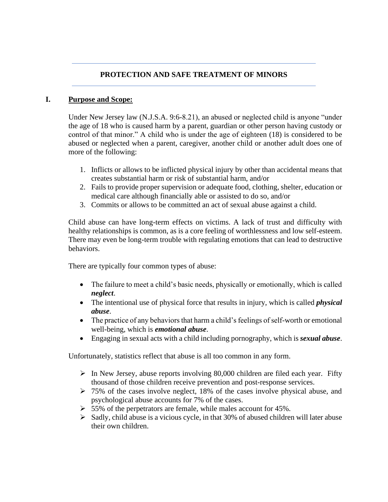#### **PROTECTION AND SAFE TREATMENT OF MINORS**

#### **I. Purpose and Scope:**

Under New Jersey law (N.J.S.A. 9:6-8.21), an abused or neglected child is anyone "under the age of 18 who is caused harm by a parent, guardian or other person having custody or control of that minor." A child who is under the age of eighteen (18) is considered to be abused or neglected when a parent, caregiver, another child or another adult does one of more of the following:

- 1. Inflicts or allows to be inflicted physical injury by other than accidental means that creates substantial harm or risk of substantial harm, and/or
- 2. Fails to provide proper supervision or adequate food, clothing, shelter, education or medical care although financially able or assisted to do so, and/or
- 3. Commits or allows to be committed an act of sexual abuse against a child.

Child abuse can have long-term effects on victims. A lack of trust and difficulty with healthy relationships is common, as is a core feeling of worthlessness and low self-esteem. There may even be long-term trouble with regulating emotions that can lead to destructive behaviors.

There are typically four common types of abuse:

- The failure to meet a child's basic needs, physically or emotionally, which is called *neglect*.
- The intentional use of physical force that results in injury, which is called *physical abuse*.
- The practice of any behaviors that harm a child's feelings of self-worth or emotional well-being, which is *emotional abuse*.
- Engaging in sexual acts with a child including pornography, which is *sexual abuse*.

Unfortunately, statistics reflect that abuse is all too common in any form.

- $\triangleright$  In New Jersey, abuse reports involving 80,000 children are filed each year. Fifty thousand of those children receive prevention and post-response services.
- $\geq 75\%$  of the cases involve neglect, 18% of the cases involve physical abuse, and psychological abuse accounts for 7% of the cases.
- $> 55\%$  of the perpetrators are female, while males account for 45%.
- $\triangleright$  Sadly, child abuse is a vicious cycle, in that 30% of abused children will later abuse their own children.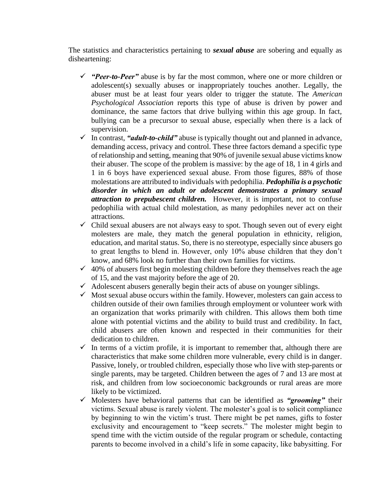The statistics and characteristics pertaining to *sexual abuse* are sobering and equally as disheartening:

- ✓ *"Peer-to-Peer"* abuse is by far the most common, where one or more children or adolescent(s) sexually abuses or inappropriately touches another. Legally, the abuser must be at least four years older to trigger the statute. The *American Psychological Association* reports this type of abuse is driven by power and dominance, the same factors that drive bullying within this age group. In fact, bullying can be a precursor to sexual abuse, especially when there is a lack of supervision.
- ✓ In contrast, *"adult-to-child"* abuse is typically thought out and planned in advance, demanding access, privacy and control. These three factors demand a specific type of relationship and setting, meaning that 90% of juvenile sexual abuse victims know their abuser. The scope of the problem is massive: by the age of 18, 1 in 4 girls and 1 in 6 boys have experienced sexual abuse. From those figures, 88% of those molestations are attributed to individuals with pedophilia. *Pedophilia is a psychotic disorder in which an adult or adolescent demonstrates a primary sexual attraction to prepubescent children.* However, it is important, not to confuse pedophilia with actual child molestation, as many pedophiles never act on their attractions.
- ✓ Child sexual abusers are not always easy to spot. Though seven out of every eight molesters are male, they match the general population in ethnicity, religion, education, and marital status. So, there is no stereotype, especially since abusers go to great lengths to blend in. However, only 10% abuse children that they don't know, and 68% look no further than their own families for victims.
- $\checkmark$  40% of abusers first begin molesting children before they themselves reach the age of 15, and the vast majority before the age of 20.
- $\checkmark$  Adolescent abusers generally begin their acts of abuse on younger siblings.
- $\checkmark$  Most sexual abuse occurs within the family. However, molesters can gain access to children outside of their own families through employment or volunteer work with an organization that works primarily with children. This allows them both time alone with potential victims and the ability to build trust and credibility. In fact, child abusers are often known and respected in their communities for their dedication to children.
- $\checkmark$  In terms of a victim profile, it is important to remember that, although there are characteristics that make some children more vulnerable, every child is in danger. Passive, lonely, or troubled children, especially those who live with step-parents or single parents, may be targeted. Children between the ages of 7 and 13 are most at risk, and children from low socioeconomic backgrounds or rural areas are more likely to be victimized.
- ✓ Molesters have behavioral patterns that can be identified as *"grooming"* their victims. Sexual abuse is rarely violent. The molester's goal is to solicit compliance by beginning to win the victim's trust. There might be pet names, gifts to foster exclusivity and encouragement to "keep secrets." The molester might begin to spend time with the victim outside of the regular program or schedule, contacting parents to become involved in a child's life in some capacity, like babysitting. For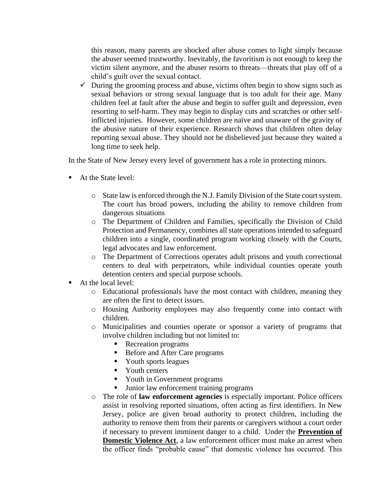this reason, many parents are shocked after abuse comes to light simply because the abuser seemed trustworthy. Inevitably, the favoritism is not enough to keep the victim silent anymore, and the abuser resorts to threats—threats that play off of a child's guilt over the sexual contact.

 $\checkmark$  During the grooming process and abuse, victims often begin to show signs such as sexual behaviors or strong sexual language that is too adult for their age. Many children feel at fault after the abuse and begin to suffer guilt and depression, even resorting to self-harm. They may begin to display cuts and scratches or other selfinflicted injuries. However, some children are naïve and unaware of the gravity of the abusive nature of their experience. Research shows that children often delay reporting sexual abuse. They should not be disbelieved just because they waited a long time to seek help.

In the State of New Jersey every level of government has a role in protecting minors.

- At the State level:
	- o State law is enforced through the N.J. Family Division of the State court system. The court has broad powers, including the ability to remove children from dangerous situations
	- o The Department of Children and Families, specifically the Division of Child Protection and Permanency, combines all state operations intended to safeguard children into a single, coordinated program working closely with the Courts, legal advocates and law enforcement.
	- o The Department of Corrections operates adult prisons and youth correctional centers to deal with perpetrators, while individual counties operate youth detention centers and special purpose schools.
- At the local level:
	- o Educational professionals have the most contact with children, meaning they are often the first to detect issues.
	- o Housing Authority employees may also frequently come into contact with children.
	- o Municipalities and counties operate or sponsor a variety of programs that involve children including but not limited to:
		- Recreation programs
		- Before and After Care programs
		- Youth sports leagues
		- Youth centers
		- **•** Youth in Government programs
		- Junior law enforcement training programs
	- o The role of **law enforcement agencies** is especially important. Police officers assist in resolving reported situations, often acting as first identifiers. In New Jersey, police are given broad authority to protect children, including the authority to remove them from their parents or caregivers without a court order if necessary to prevent imminent danger to a child. Under the **Prevention of Domestic Violence Act**, a law enforcement officer must make an arrest when the officer finds "probable cause" that domestic violence has occurred. This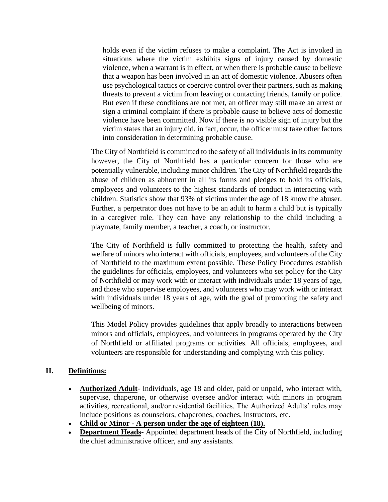holds even if the victim refuses to make a complaint. The Act is invoked in situations where the victim exhibits signs of injury caused by domestic violence, when a warrant is in effect, or when there is probable cause to believe that a weapon has been involved in an act of domestic violence. Abusers often use psychological tactics or coercive control over their partners, such as making threats to prevent a victim from leaving or contacting friends, family or police. But even if these conditions are not met, an officer may still make an arrest or sign a criminal complaint if there is probable cause to believe acts of domestic violence have been committed. Now if there is no visible sign of injury but the victim states that an injury did, in fact, occur, the officer must take other factors into consideration in determining probable cause.

The City of Northfield is committed to the safety of all individuals in its community however, the City of Northfield has a particular concern for those who are potentially vulnerable, including minor children. The City of Northfield regards the abuse of children as abhorrent in all its forms and pledges to hold its officials, employees and volunteers to the highest standards of conduct in interacting with children. Statistics show that 93% of victims under the age of 18 know the abuser. Further, a perpetrator does not have to be an adult to harm a child but is typically in a caregiver role. They can have any relationship to the child including a playmate, family member, a teacher, a coach, or instructor.

The City of Northfield is fully committed to protecting the health, safety and welfare of minors who interact with officials, employees, and volunteers of the City of Northfield to the maximum extent possible. These Policy Procedures establish the guidelines for officials, employees, and volunteers who set policy for the City of Northfield or may work with or interact with individuals under 18 years of age, and those who supervise employees, and volunteers who may work with or interact with individuals under 18 years of age, with the goal of promoting the safety and wellbeing of minors.

This Model Policy provides guidelines that apply broadly to interactions between minors and officials, employees, and volunteers in programs operated by the City of Northfield or affiliated programs or activities. All officials, employees, and volunteers are responsible for understanding and complying with this policy.

#### **II. Definitions:**

- **Authorized Adult** Individuals, age 18 and older, paid or unpaid, who interact with, supervise, chaperone, or otherwise oversee and/or interact with minors in program activities, recreational, and/or residential facilities. The Authorized Adults' roles may include positions as counselors, chaperones, coaches, instructors, etc.
- **Child or Minor - A person under the age of eighteen (18).**
- **Department Heads** Appointed department heads of the City of Northfield, including the chief administrative officer, and any assistants.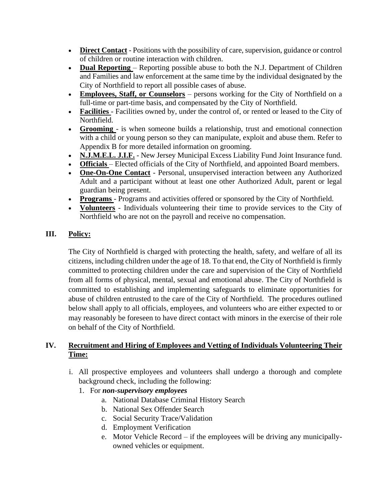- **Direct Contact** Positions with the possibility of care, supervision, guidance or control of children or routine interaction with children.
- **Dual Reporting** Reporting possible abuse to both the N.J. Department of Children and Families and law enforcement at the same time by the individual designated by the City of Northfield to report all possible cases of abuse.
- **Employees, Staff, or Counselors** persons working for the City of Northfield on a full-time or part-time basis, and compensated by the City of Northfield.
- **Facilities** Facilities owned by, under the control of, or rented or leased to the City of Northfield.
- **Grooming**  is when someone builds a relationship, trust and emotional connection with a child or young person so they can manipulate, exploit and abuse them. Refer to Appendix B for more detailed information on grooming.
- **N.J.M.E.L. J.I.F.** New Jersey Municipal Excess Liability Fund Joint Insurance fund.
- **Officials** Elected officials of the City of Northfield, and appointed Board members.
- **One-On-One Contact** Personal, unsupervised interaction between any Authorized Adult and a participant without at least one other Authorized Adult, parent or legal guardian being present.
- **Programs** Programs and activities offered or sponsored by the City of Northfield.
- **Volunteers** Individuals volunteering their time to provide services to the City of Northfield who are not on the payroll and receive no compensation.

# **III. Policy:**

The City of Northfield is charged with protecting the health, safety, and welfare of all its citizens, including children under the age of 18. To that end, the City of Northfield is firmly committed to protecting children under the care and supervision of the City of Northfield from all forms of physical, mental, sexual and emotional abuse. The City of Northfield is committed to establishing and implementing safeguards to eliminate opportunities for abuse of children entrusted to the care of the City of Northfield. The procedures outlined below shall apply to all officials, employees, and volunteers who are either expected to or may reasonably be foreseen to have direct contact with minors in the exercise of their role on behalf of the City of Northfield.

## **IV. Recruitment and Hiring of Employees and Vetting of Individuals Volunteering Their Time:**

- i. All prospective employees and volunteers shall undergo a thorough and complete background check, including the following:
	- 1. For *non-supervisory employees*
		- a. National Database Criminal History Search
		- b. National Sex Offender Search
		- c. Social Security Trace/Validation
		- d. Employment Verification
		- e. Motor Vehicle Record if the employees will be driving any municipallyowned vehicles or equipment.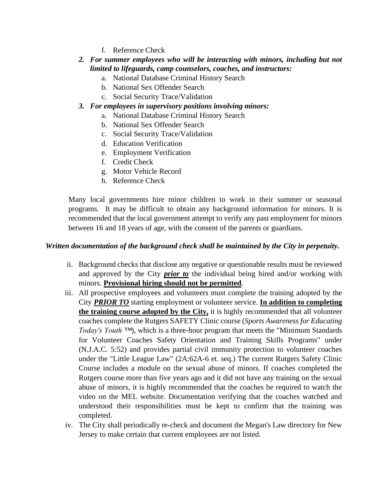- f. Reference Check
- *2. For summer employees who will be interacting with minors, including but not limited to lifeguards, camp counselors, coaches, and instructors:*
	- a. National Database Criminal History Search
	- b. National Sex Offender Search
	- c. Social Security Trace/Validation
- *3. For employees in supervisory positions involving minors:*
	- a. National Database Criminal History Search
	- b. National Sex Offender Search
	- c. Social Security Trace/Validation
	- d. Education Verification
	- e. Employment Verification
	- f. Credit Check
	- g. Motor Vehicle Record
	- h. Reference Check

Many local governments hire minor children to work in their summer or seasonal programs. It may be difficult to obtain any background information for minors. It is recommended that the local government attempt to verify any past employment for minors between 16 and 18 years of age, with the consent of the parents or guardians.

#### *Written documentation of the background check shall be maintained by the City in perpetuity.*

- ii. Background checks that disclose any negative or questionable results must be reviewed and approved by the City *prior to* the individual being hired and/or working with minors. **Provisional hiring should not be permitted**.
- iii. All prospective employees and volunteers must complete the training adopted by the City *PRIOR TO* starting employment or volunteer service. **In addition to completing the training course adopted by the City,** it is highly recommended that all volunteer coaches complete the Rutgers SAFETY Clinic course (*Sports Awareness for Educating Today's Youth ™*), which is a three-hour program that meets the ["Minimum Standards](https://youthsports.rutgers.edu/sports-law/standards)  [for Volunteer Coaches Safety Orientation and Training Skills Programs"](https://youthsports.rutgers.edu/sports-law/standards) under (N.J.A.C. 5:52) and provides partial civil immunity protection to volunteer coaches under the ["Little League Law"](https://youthsports.rutgers.edu/sports-law/little-league) (2A:62A-6 et. seq.) The current Rutgers Safety Clinic Course includes a module on the sexual abuse of minors. If coaches completed the Rutgers course more than five years ago and it did not have any training on the sexual abuse of minors, it is highly recommended that the coaches be required to watch the video on the MEL website. Documentation verifying that the coaches watched and understood their responsibilities must be kept to confirm that the training was completed.
- iv. The City shall periodically re-check and document the Megan's Law directory for New Jersey to make certain that current employees are not listed.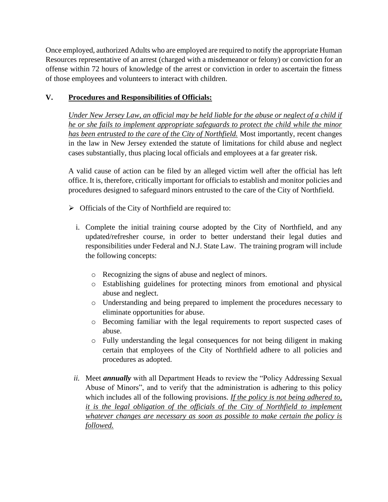Once employed, authorized Adults who are employed are required to notify the appropriate Human Resources representative of an arrest (charged with a misdemeanor or felony) or conviction for an offense within 72 hours of knowledge of the arrest or conviction in order to ascertain the fitness of those employees and volunteers to interact with children.

# **V. Procedures and Responsibilities of Officials:**

*Under New Jersey Law, an official may be held liable for the abuse or neglect of a child if he or she fails to implement appropriate safeguards to protect the child while the minor has been entrusted to the care of the City of Northfield.* Most importantly, recent changes in the law in New Jersey extended the statute of limitations for child abuse and neglect cases substantially, thus placing local officials and employees at a far greater risk.

A valid cause of action can be filed by an alleged victim well after the official has left office. It is, therefore, critically important for officials to establish and monitor policies and procedures designed to safeguard minors entrusted to the care of the City of Northfield.

- ➢ Officials of the City of Northfield are required to:
	- i. Complete the initial training course adopted by the City of Northfield, and any updated/refresher course, in order to better understand their legal duties and responsibilities under Federal and N.J. State Law. The training program will include the following concepts:
		- o Recognizing the signs of abuse and neglect of minors.
		- o Establishing guidelines for protecting minors from emotional and physical abuse and neglect.
		- o Understanding and being prepared to implement the procedures necessary to eliminate opportunities for abuse.
		- o Becoming familiar with the legal requirements to report suspected cases of abuse.
		- o Fully understanding the legal consequences for not being diligent in making certain that employees of the City of Northfield adhere to all policies and procedures as adopted.
	- *ii.* Meet *annually* with all Department Heads to review the "Policy Addressing Sexual Abuse of Minors", and to verify that the administration is adhering to this policy which includes all of the following provisions. *If the policy is not being adhered to, it is the legal obligation of the officials of the City of Northfield to implement whatever changes are necessary as soon as possible to make certain the policy is followed.*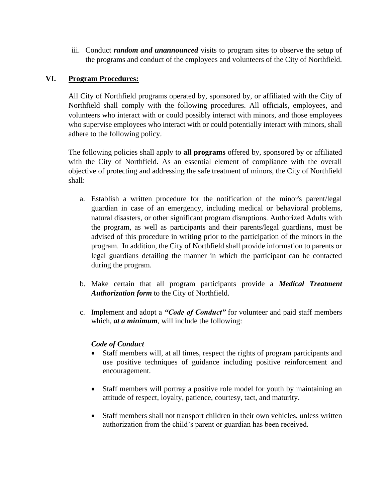iii. Conduct *random and unannounced* visits to program sites to observe the setup of the programs and conduct of the employees and volunteers of the City of Northfield.

#### **VI. Program Procedures:**

All City of Northfield programs operated by, sponsored by, or affiliated with the City of Northfield shall comply with the following procedures. All officials, employees, and volunteers who interact with or could possibly interact with minors, and those employees who supervise employees who interact with or could potentially interact with minors, shall adhere to the following policy.

The following policies shall apply to **all programs** offered by, sponsored by or affiliated with the City of Northfield. As an essential element of compliance with the overall objective of protecting and addressing the safe treatment of minors, the City of Northfield shall:

- a. Establish a written procedure for the notification of the minor's parent/legal guardian in case of an emergency, including medical or behavioral problems, natural disasters, or other significant program disruptions. Authorized Adults with the program, as well as participants and their parents/legal guardians, must be advised of this procedure in writing prior to the participation of the minors in the program. In addition, the City of Northfield shall provide information to parents or legal guardians detailing the manner in which the participant can be contacted during the program.
- b. Make certain that all program participants provide a *[Medical Treatment](https://universityethics.psu.edu/sites/universityethics/files/youth_programs_medical_treatment_authorization_5_10_18.pdf)  [Authorization form](https://universityethics.psu.edu/sites/universityethics/files/youth_programs_medical_treatment_authorization_5_10_18.pdf)* to the City of Northfield.
- c. Implement and adopt a *"Code of Conduct"* for volunteer and paid staff members which, *at a minimum*, will include the following:

#### *Code of Conduct*

- Staff members will, at all times, respect the rights of program participants and use positive techniques of guidance including positive reinforcement and encouragement.
- Staff members will portray a positive role model for youth by maintaining an attitude of respect, loyalty, patience, courtesy, tact, and maturity.
- Staff members shall not transport children in their own vehicles, unless written authorization from the child's parent or guardian has been received.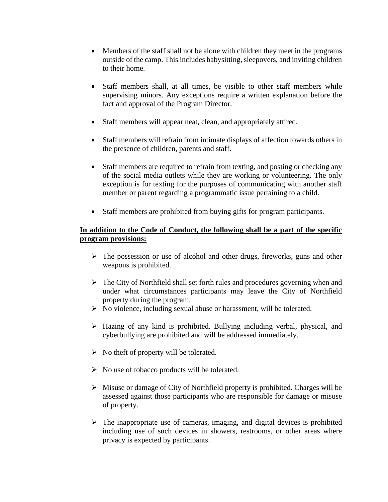- Members of the staff shall not be alone with children they meet in the programs outside of the camp. This includes babysitting, sleepovers, and inviting children to their home.
- Staff members shall, at all times, be visible to other staff members while supervising minors. Any exceptions require a written explanation before the fact and approval of the Program Director.
- Staff members will appear neat, clean, and appropriately attired.
- Staff members will refrain from intimate displays of affection towards others in the presence of children, parents and staff.
- Staff members are required to refrain from texting, and posting or checking any of the social media outlets while they are working or volunteering. The only exception is for texting for the purposes of communicating with another staff member or parent regarding a programmatic issue pertaining to a child.
- Staff members are prohibited from buying gifts for program participants.

#### **In addition to the Code of Conduct, the following shall be a part of the specific program provisions:**

- ➢ The possession or use of alcohol and other drugs, fireworks, guns and other weapons is prohibited.
- ➢ The City of Northfield shall set forth rules and procedures governing when and under what circumstances participants may leave the City of Northfield property during the program.
- ➢ No violence, including sexual abuse or harassment, will be tolerated.
- ➢ Hazing of any kind is prohibited. Bullying including verbal, physical, and cyberbullying are prohibited and will be addressed immediately.
- $\triangleright$  No theft of property will be tolerated.
- ➢ No use of tobacco products will be tolerated.
- ➢ Misuse or damage of City of Northfield property is prohibited. Charges will be assessed against those participants who are responsible for damage or misuse of property.
- $\triangleright$  The inappropriate use of cameras, imaging, and digital devices is prohibited including use of such devices in showers, restrooms, or other areas where privacy is expected by participants.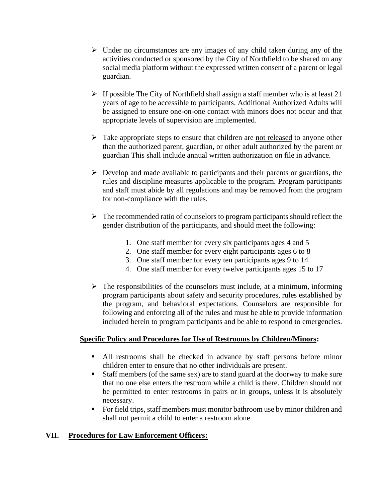- $\triangleright$  Under no circumstances are any images of any child taken during any of the activities conducted or sponsored by the City of Northfield to be shared on any social media platform without the expressed written consent of a parent or legal guardian.
- $\triangleright$  If possible The City of Northfield shall assign a staff member who is at least 21 years of age to be accessible to participants. Additional Authorized Adults will be assigned to ensure one-on-one contact with minors does not occur and that appropriate levels of supervision are implemented.
- $\triangleright$  Take appropriate steps to ensure that children are <u>not released</u> to anyone other than the authorized parent, guardian, or other adult authorized by the parent or guardian This shall include annual written authorization on file in advance.
- $\triangleright$  Develop and made available to participants and their parents or guardians, the rules and discipline measures applicable to the program. Program participants and staff must abide by all regulations and may be removed from the program for non-compliance with the rules.
- $\triangleright$  The recommended ratio of counselors to program participants should reflect the gender distribution of the participants, and should meet the following:
	- 1. One staff member for every six participants ages 4 and 5
	- 2. One staff member for every eight participants ages 6 to 8
	- 3. One staff member for every ten participants ages 9 to 14
	- 4. One staff member for every twelve participants ages 15 to 17
- $\triangleright$  The responsibilities of the counselors must include, at a minimum, informing program participants about safety and security procedures, rules established by the program, and behavioral expectations. Counselors are responsible for following and enforcing all of the rules and must be able to provide information included herein to program participants and be able to respond to emergencies.

#### **Specific Policy and Procedures for Use of Restrooms by Children/Minors:**

- All restrooms shall be checked in advance by staff persons before minor children enter to ensure that no other individuals are present.
- Staff members (of the same sex) are to stand guard at the doorway to make sure that no one else enters the restroom while a child is there. Children should not be permitted to enter restrooms in pairs or in groups, unless it is absolutely necessary.
- For field trips, staff members must monitor bathroom use by minor children and shall not permit a child to enter a restroom alone.

#### **VII. Procedures for Law Enforcement Officers:**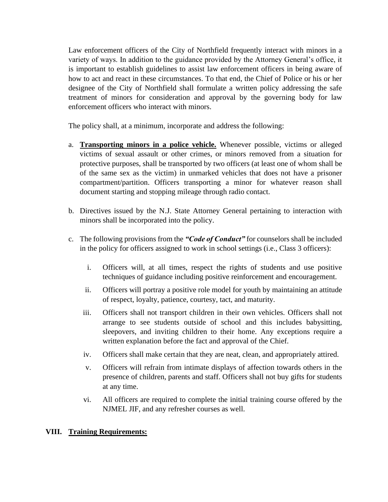Law enforcement officers of the City of Northfield frequently interact with minors in a variety of ways. In addition to the guidance provided by the Attorney General's office, it is important to establish guidelines to assist law enforcement officers in being aware of how to act and react in these circumstances. To that end, the Chief of Police or his or her designee of the City of Northfield shall formulate a written policy addressing the safe treatment of minors for consideration and approval by the governing body for law enforcement officers who interact with minors.

The policy shall, at a minimum, incorporate and address the following:

- a. **Transporting minors in a police vehicle.** Whenever possible, victims or alleged victims of sexual assault or other crimes, or minors removed from a situation for protective purposes, shall be transported by two officers (at least one of whom shall be of the same sex as the victim) in unmarked vehicles that does not have a prisoner compartment/partition. Officers transporting a minor for whatever reason shall document starting and stopping mileage through radio contact.
- b. Directives issued by the N.J. State Attorney General pertaining to interaction with minors shall be incorporated into the policy.
- c. The following provisions from the *"Code of Conduct"* for counselors shall be included in the policy for officers assigned to work in school settings (i.e., Class 3 officers):
	- i. Officers will, at all times, respect the rights of students and use positive techniques of guidance including positive reinforcement and encouragement.
	- ii. Officers will portray a positive role model for youth by maintaining an attitude of respect, loyalty, patience, courtesy, tact, and maturity.
	- iii. Officers shall not transport children in their own vehicles. Officers shall not arrange to see students outside of school and this includes babysitting, sleepovers, and inviting children to their home. Any exceptions require a written explanation before the fact and approval of the Chief.
	- iv. Officers shall make certain that they are neat, clean, and appropriately attired.
	- v. Officers will refrain from intimate displays of affection towards others in the presence of children, parents and staff. Officers shall not buy gifts for students at any time.
	- vi. All officers are required to complete the initial training course offered by the NJMEL JIF, and any refresher courses as well.

#### **VIII. Training Requirements:**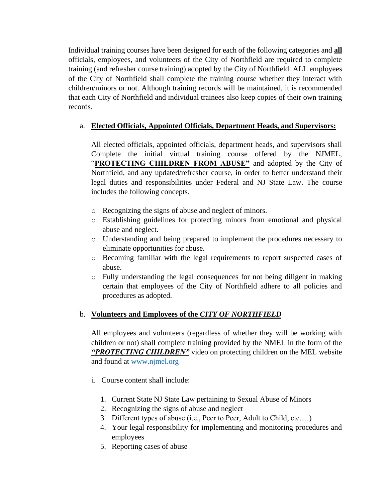Individual training courses have been designed for each of the following categories and **all**  officials, employees, and volunteers of the City of Northfield are required to complete training (and refresher course training) adopted by the City of Northfield. ALL employees of the City of Northfield shall complete the training course whether they interact with children/minors or not. Although training records will be maintained, it is recommended that each City of Northfield and individual trainees also keep copies of their own training records.

## a. **Elected Officials, Appointed Officials, Department Heads, and Supervisors:**

All elected officials, appointed officials, department heads, and supervisors shall Complete the initial virtual training course offered by the NJMEL, "**PROTECTING CHILDREN FROM ABUSE"** and adopted by the City of Northfield, and any updated/refresher course, in order to better understand their legal duties and responsibilities under Federal and NJ State Law. The course includes the following concepts.

- o Recognizing the signs of abuse and neglect of minors.
- o Establishing guidelines for protecting minors from emotional and physical abuse and neglect.
- o Understanding and being prepared to implement the procedures necessary to eliminate opportunities for abuse.
- o Becoming familiar with the legal requirements to report suspected cases of abuse.
- o Fully understanding the legal consequences for not being diligent in making certain that employees of the City of Northfield adhere to all policies and procedures as adopted.

#### b. **Volunteers and Employees of the** *CITY OF NORTHFIELD*

All employees and volunteers (regardless of whether they will be working with children or not) shall complete training provided by the NMEL in the form of the *"PROTECTING CHILDREN"* video on protecting children on the MEL website and found at [www.njmel.org](http://www.njmel.org/)

- i. Course content shall include:
	- 1. Current State NJ State Law pertaining to Sexual Abuse of Minors
	- 2. Recognizing the signs of abuse and neglect
	- 3. Different types of abuse (i.e., Peer to Peer, Adult to Child, etc.…)
	- 4. Your legal responsibility for implementing and monitoring procedures and employees
	- 5. Reporting cases of abuse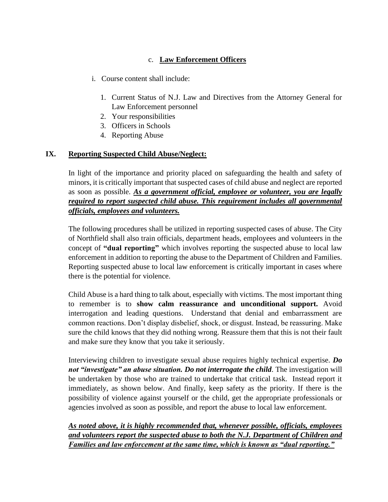# c. **Law Enforcement Officers**

- i. Course content shall include:
	- 1. Current Status of N.J. Law and Directives from the Attorney General for Law Enforcement personnel
	- 2. Your responsibilities
	- 3. Officers in Schools
	- 4. Reporting Abuse

## **IX. Reporting Suspected Child Abuse/Neglect:**

In light of the importance and priority placed on safeguarding the health and safety of minors, it is critically important that suspected cases of child abuse and neglect are reported as soon as possible. *As a government official, employee or volunteer, you are legally required to report suspected child abuse. This requirement includes all governmental officials, employees and volunteers.* 

The following procedures shall be utilized in reporting suspected cases of abuse. The City of Northfield shall also train officials, department heads, employees and volunteers in the concept of **"dual reporting"** which involves reporting the suspected abuse to local law enforcement in addition to reporting the abuse to the Department of Children and Families. Reporting suspected abuse to local law enforcement is critically important in cases where there is the potential for violence.

Child Abuse is a hard thing to talk about, especially with victims. The most important thing to remember is to **show calm reassurance and unconditional support.** Avoid interrogation and leading questions. Understand that denial and embarrassment are common reactions. Don't display disbelief, shock, or disgust. Instead, be reassuring. Make sure the child knows that they did nothing wrong. Reassure them that this is not their fault and make sure they know that you take it seriously.

Interviewing children to investigate sexual abuse requires highly technical expertise. *Do not "investigate" an abuse situation. Do not interrogate the child*. The investigation will be undertaken by those who are trained to undertake that critical task. Instead report it immediately, as shown below. And finally, keep safety as the priority. If there is the possibility of violence against yourself or the child, get the appropriate professionals or agencies involved as soon as possible, and report the abuse to local law enforcement.

*As noted above, it is highly recommended that, whenever possible, officials, employees and volunteers report the suspected abuse to both the N.J. Department of Children and Families and law enforcement at the same time, which is known as "dual reporting."*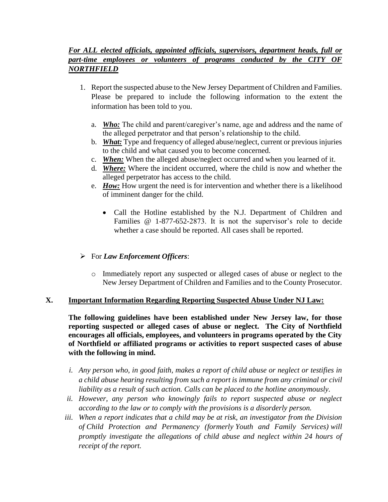# *For ALL elected officials, appointed officials, supervisors, department heads, full or part-time employees or volunteers of programs conducted by the CITY OF NORTHFIELD*

- 1. Report the suspected abuse to the New Jersey Department of Children and Families. Please be prepared to include the following information to the extent the information has been told to you.
	- a. *Who:* The child and parent/caregiver's name, age and address and the name of the alleged perpetrator and that person's relationship to the child.
	- b. *What:* Type and frequency of alleged abuse/neglect, current or previous injuries to the child and what caused you to become concerned.
	- c. *When:* When the alleged abuse/neglect occurred and when you learned of it.
	- d. *Where:* Where the incident occurred, where the child is now and whether the alleged perpetrator has access to the child.
	- e. *How:* How urgent the need is for intervention and whether there is a likelihood of imminent danger for the child.
		- Call the Hotline established by the N.J. Department of Children and Families @ 1-877-652-2873. It is not the supervisor's role to decide whether a case should be reported. All cases shall be reported.

# ➢ For *Law Enforcement Officers*:

o Immediately report any suspected or alleged cases of abuse or neglect to the New Jersey Department of Children and Families and to the County Prosecutor.

#### **X. Important Information Regarding Reporting Suspected Abuse Under NJ Law:**

**The following guidelines have been established under New Jersey law, for those reporting suspected or alleged cases of abuse or neglect. The City of Northfield encourages all officials, employees, and volunteers in programs operated by the City of Northfield or affiliated programs or activities to report suspected cases of abuse with the following in mind.** 

- *i. Any person who, in good faith, makes a report of child abuse or neglect or testifies in a child abuse hearing resulting from such a report is immune from any criminal or civil liability as a result of such action. Calls can be placed to the hotline anonymously.*
- *ii. However, any person who knowingly fails to report suspected abuse or neglect according to the law or to comply with the provisions is a disorderly person.*
- *iii. When a report indicates that a child may be at risk, an investigator from the Division of Child Protection and Permanency (formerly Youth and Family Services) will promptly investigate the allegations of child abuse and neglect within 24 hours of receipt of the report.*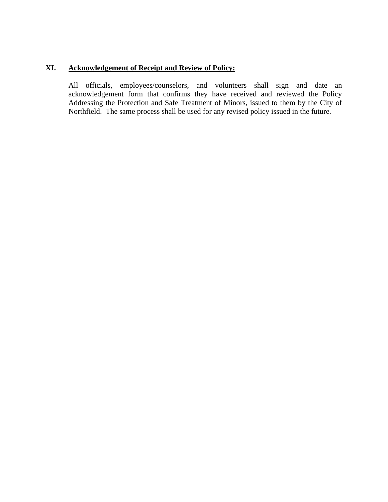# **XI. Acknowledgement of Receipt and Review of Policy:**

All officials, employees/counselors, and volunteers shall sign and date an acknowledgement form that confirms they have received and reviewed the Policy Addressing the Protection and Safe Treatment of Minors, issued to them by the City of Northfield. The same process shall be used for any revised policy issued in the future.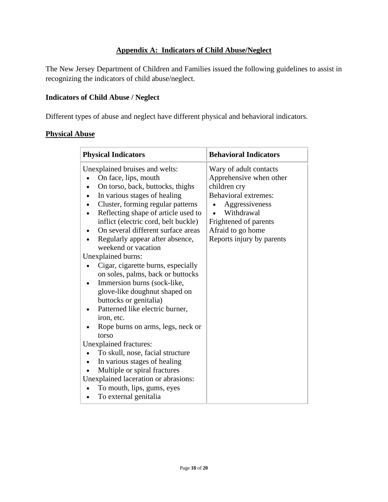# **Appendix A: Indicators of Child Abuse/Neglect**

The New Jersey Department of Children and Families issued the following guidelines to assist in recognizing the indicators of child abuse/neglect.

#### **Indicators of Child Abuse / Neglect**

Different types of abuse and neglect have different physical and behavioral indicators.

## **Physical Abuse**

| <b>Physical Indicators</b>                                                                                                                                                                                                                                                                                                                                                                                                                                                                                                                                                                                                      | <b>Behavioral Indicators</b>                                                                                                                                                                                |  |
|---------------------------------------------------------------------------------------------------------------------------------------------------------------------------------------------------------------------------------------------------------------------------------------------------------------------------------------------------------------------------------------------------------------------------------------------------------------------------------------------------------------------------------------------------------------------------------------------------------------------------------|-------------------------------------------------------------------------------------------------------------------------------------------------------------------------------------------------------------|--|
| Unexplained bruises and welts:<br>On face, lips, mouth<br>On torso, back, buttocks, thighs<br>In various stages of healing<br>Cluster, forming regular patterns<br>Reflecting shape of article used to<br>inflict (electric cord, belt buckle)<br>On several different surface areas<br>Regularly appear after absence,<br>weekend or vacation<br>Unexplained burns:<br>Cigar, cigarette burns, especially<br>on soles, palms, back or buttocks<br>Immersion burns (sock-like,<br>glove-like doughnut shaped on<br>buttocks or genitalia)<br>Patterned like electric burner,<br>iron, etc.<br>Rope burns on arms, legs, neck or | Wary of adult contacts<br>Apprehensive when other<br>children cry<br><b>Behavioral extremes:</b><br>Aggressiveness<br>Withdrawal<br>Frightened of parents<br>Afraid to go home<br>Reports injury by parents |  |
| torso<br>Unexplained fractures:                                                                                                                                                                                                                                                                                                                                                                                                                                                                                                                                                                                                 |                                                                                                                                                                                                             |  |
| To skull, nose, facial structure                                                                                                                                                                                                                                                                                                                                                                                                                                                                                                                                                                                                |                                                                                                                                                                                                             |  |
| In various stages of healing                                                                                                                                                                                                                                                                                                                                                                                                                                                                                                                                                                                                    |                                                                                                                                                                                                             |  |
| Multiple or spiral fractures                                                                                                                                                                                                                                                                                                                                                                                                                                                                                                                                                                                                    |                                                                                                                                                                                                             |  |
| Unexplained laceration or abrasions:                                                                                                                                                                                                                                                                                                                                                                                                                                                                                                                                                                                            |                                                                                                                                                                                                             |  |
| To mouth, lips, gums, eyes                                                                                                                                                                                                                                                                                                                                                                                                                                                                                                                                                                                                      |                                                                                                                                                                                                             |  |
| To external genitalia<br>$\bullet$                                                                                                                                                                                                                                                                                                                                                                                                                                                                                                                                                                                              |                                                                                                                                                                                                             |  |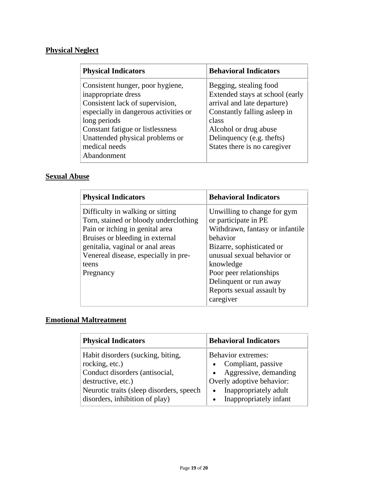# **Physical Neglect**

| <b>Physical Indicators</b>                                                                                                                                                                                                                                 | <b>Behavioral Indicators</b>                                                                                                                                                                                            |
|------------------------------------------------------------------------------------------------------------------------------------------------------------------------------------------------------------------------------------------------------------|-------------------------------------------------------------------------------------------------------------------------------------------------------------------------------------------------------------------------|
| Consistent hunger, poor hygiene,<br>inappropriate dress<br>Consistent lack of supervision,<br>especially in dangerous activities or<br>long periods<br>Constant fatigue or listlessness<br>Unattended physical problems or<br>medical needs<br>Abandonment | Begging, stealing food<br>Extended stays at school (early<br>arrival and late departure)<br>Constantly falling asleep in<br>class<br>Alcohol or drug abuse<br>Delinquency (e.g. thefts)<br>States there is no caregiver |

# **Sexual Abuse**

| <b>Physical Indicators</b>                                                                                                                                                                                                                        | <b>Behavioral Indicators</b>                                                                                                                                                                                                                                              |
|---------------------------------------------------------------------------------------------------------------------------------------------------------------------------------------------------------------------------------------------------|---------------------------------------------------------------------------------------------------------------------------------------------------------------------------------------------------------------------------------------------------------------------------|
| Difficulty in walking or sitting<br>Torn, stained or bloody underclothing<br>Pain or itching in genital area<br>Bruises or bleeding in external<br>genitalia, vaginal or anal areas<br>Venereal disease, especially in pre-<br>teens<br>Pregnancy | Unwilling to change for gym<br>or participate in PE<br>Withdrawn, fantasy or infantile<br>behavior<br>Bizarre, sophisticated or<br>unusual sexual behavior or<br>knowledge<br>Poor peer relationships<br>Delinquent or run away<br>Reports sexual assault by<br>caregiver |

# **Emotional Maltreatment**

| <b>Physical Indicators</b>                                                                                                                                                                | <b>Behavioral Indicators</b>                                                                                                                                                         |
|-------------------------------------------------------------------------------------------------------------------------------------------------------------------------------------------|--------------------------------------------------------------------------------------------------------------------------------------------------------------------------------------|
| Habit disorders (sucking, biting,<br>rocking, etc.)<br>Conduct disorders (antisocial,<br>destructive, etc.)<br>Neurotic traits (sleep disorders, speech<br>disorders, inhibition of play) | <b>Behavior extremes:</b><br>Compliant, passive<br>• Aggressive, demanding<br>Overly adoptive behavior:<br>Inappropriately adult<br>$\bullet$<br>Inappropriately infant<br>$\bullet$ |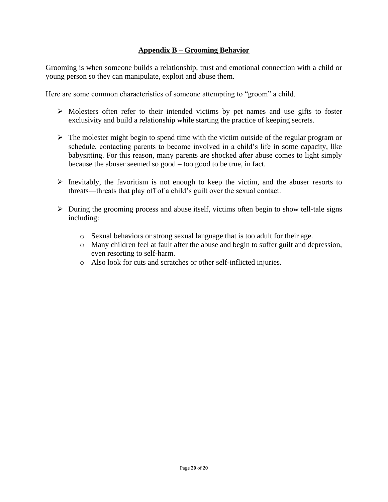#### **Appendix B – Grooming Behavior**

Grooming is when someone builds a relationship, trust and emotional connection with a child or young person so they can manipulate, exploit and abuse them.

Here are some common characteristics of someone attempting to "groom" a child.

- ➢ Molesters often refer to their intended victims by pet names and use gifts to foster exclusivity and build a relationship while starting the practice of keeping secrets.
- $\triangleright$  The molester might begin to spend time with the victim outside of the regular program or schedule, contacting parents to become involved in a child's life in some capacity, like babysitting. For this reason, many parents are shocked after abuse comes to light simply because the abuser seemed so good – too good to be true, in fact.
- $\triangleright$  Inevitably, the favoritism is not enough to keep the victim, and the abuser resorts to threats—threats that play off of a child's guilt over the sexual contact.
- ➢ During the grooming process and abuse itself, victims often begin to show tell-tale signs including:
	- o Sexual behaviors or strong sexual language that is too adult for their age.
	- o Many children feel at fault after the abuse and begin to suffer guilt and depression, even resorting to self-harm.
	- o Also look for cuts and scratches or other self-inflicted injuries.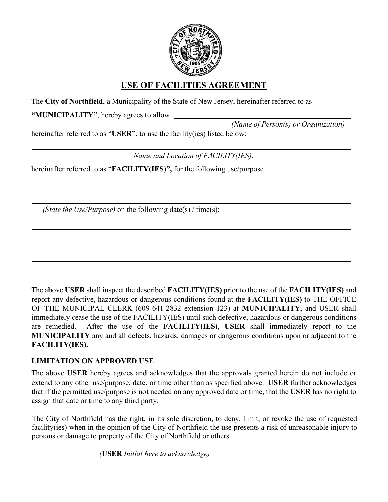

# **USE OF FACILITIES AGREEMENT**

The **City of Northfield**, a Municipality of the State of New Jersey, hereinafter referred to as

**"MUNICIPALITY"**, hereby agrees to allow

 *(Name of Person(s) or Organization)*

hereinafter referred to as "**USER",** to use the facility(ies) listed below:

*Name and Location of FACILITY(IES):*

hereinafter referred to as "**FACILITY(IES)",** for the following use/purpose

*(State the Use/Purpose)* on the following date(s) / time(s):

The above **USER** shall inspect the described **FACILITY(IES)** prior to the use of the **FACILITY(IES)** and report any defective, hazardous or dangerous conditions found at the **FACILITY(IES)** to THE OFFICE OF THE MUNICIPAL CLERK (609-641-2832 extension 123) at **MUNICIPALITY,** and USER shall immediately cease the use of the FACILITY(IES) until such defective, hazardous or dangerous conditions are remedied. After the use of the **FACILITY(IES)**, **USER** shall immediately report to the **MUNICIPALITY** any and all defects, hazards, damages or dangerous conditions upon or adjacent to the **FACILITY(IES).**

# **LIMITATION ON APPROVED USE**

The above **USER** hereby agrees and acknowledges that the approvals granted herein do not include or extend to any other use/purpose, date, or time other than as specified above. **USER** further acknowledges that if the permitted use/purpose is not needed on any approved date or time, that the **USER** has no right to assign that date or time to any third party.

The City of Northfield has the right, in its sole discretion, to deny, limit, or revoke the use of requested facility(ies) when in the opinion of the City of Northfield the use presents a risk of unreasonable injury to [persons or damage to property of the City o](https://www.nj.gov/dcf/reporting/links/)f Northfield or others.

*(***USER** *Initial here to acknowledge)*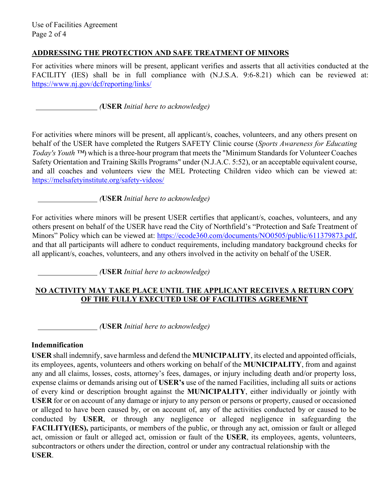## **ADDRESSING THE PROTECTION AND SAFE TREATMENT OF MINORS**

For activities where minors will be present, applicant verifies and asserts that all activities conducted at the FACILITY (IES) shall be in full compliance with (N.J.S.A. 9:6-8.21) which can be reviewed at: [https://www.nj.gov/dcf/reporting/links/](https://melsafetyinstitute.org/safety-videos/)

*(***USER** *Initial here to acknowledge)*

For activities where minors will be present, all applicant/s, coaches, volunteers, and any others present on behalf of the USER have completed the Rutgers SAFETY Clinic course (*Sports Awareness for Educating Today's Youth ™*[\) which is a three-hour program that meets the "M](https://ecode360.com/documents/NO0505/public/611379873.pdf)inimum Standards for Volunteer Coaches Safety Orientation and Training Skills Programs" under (N.J.A.C. 5:52), or an acceptable equivalent course, and all coaches and volunteers view the MEL Protecting Children video which can be viewed at: https://melsafetyinstitute.org/safety-videos/

*(***USER** *Initial here to acknowledge)* 

For activities where minors will be present USER certifies that applicant/s, coaches, volunteers, and any others present on behalf of the USER have read the City of Northfield's "Protection and Safe Treatment of Minors" Policy which can be viewed at: https://ecode360.com/documents/NO0505/public/611379873.pdf, and that all participants will adhere to conduct requirements, including mandatory background checks for all applicant/s, coaches, volunteers, and any others involved in the activity on behalf of the USER.

*(***USER** *Initial here to acknowledge)* 

## **NO ACTIVITY MAY TAKE PLACE UNTIL THE APPLICANT RECEIVES A RETURN COPY OF THE FULLY EXECUTED USE OF FACILITIES AGREEMENT**

*(***USER** *Initial here to acknowledge)* 

# **Indemnification**

**USER** shall indemnify, save harmless and defend the **MUNICIPALITY**, its elected and appointed officials, its employees, agents, volunteers and others working on behalf of the **MUNICIPALITY**, from and against any and all claims, losses, costs, attorney's fees, damages, or injury including death and/or property loss, expense claims or demands arising out of **USER's** use of the named Facilities, including all suits or actions of every kind or description brought against the **MUNICIPALITY**, either individually or jointly with **USER** for or on account of any damage or injury to any person or persons or property, caused or occasioned or alleged to have been caused by, or on account of, any of the activities conducted by or caused to be conducted by **USER**, or through any negligence or alleged negligence in safeguarding the **FACILITY(IES),** participants, or members of the public, or through any act, omission or fault or alleged act, omission or fault or alleged act, omission or fault of the **USER**, its employees, agents, volunteers, subcontractors or others under the direction, control or under any contractual relationship with the **USER**.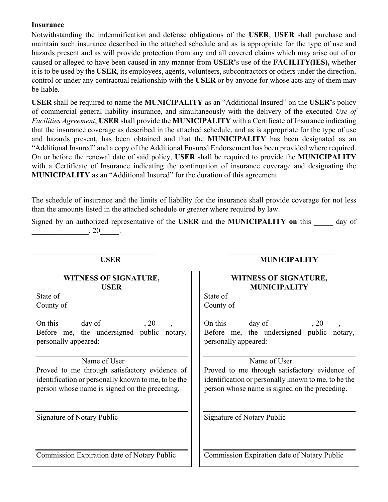#### **Insurance**

Notwithstanding the indemnification and defense obligations of the **USER**, **USER** shall purchase and maintain such insurance described in the attached schedule and as is appropriate for the type of use and hazards present and as will provide protection from any and all covered claims which may arise out of or caused or alleged to have been caused in any manner from **USER'**s use of the **FACILITY(IES),** whether it is to be used by the **USER**, its employees, agents, volunteers, subcontractors or others under the direction, control or under any contractual relationship with the **USER** or by anyone for whose acts any of them may be liable.

**USER** shall be required to name the **MUNICIPALITY** as an "Additional Insured" on the **USER'**s policy of commercial general liability insurance, and simultaneously with the delivery of the executed *Use of Facilities Agreement*, **USER** shall provide the **MUNICIPALITY** with a Certificate of Insurance indicating that the insurance coverage as described in the attached schedule, and as is appropriate for the type of use and hazards present, has been obtained and that the **MUNICIPALITY** has been designated as an "Additional Insured" and a copy of the Additional Ensured Endorsement has been provided where required. On or before the renewal date of said policy, **USER** shall be required to provide the **MUNICIPALITY** with a Certificate of Insurance indicating the continuation of insurance coverage and designating the **MUNICIPALITY** as an "Additional Insured" for the duration of this agreement.

The schedule of insurance and the limits of liability for the insurance shall provide coverage for not less than the amounts listed in the attached schedule or greater where required by law.

Signed by an authorized representative of the **USER** and the **MUNICIPALITY on** this \_\_\_\_\_ day of  $\frac{1}{20}$ .

**USER MUNICIPALITY** 

**\_\_\_\_\_\_\_\_\_\_\_\_\_\_\_\_\_\_\_\_\_\_\_\_\_\_\_\_\_\_\_\_\_ \_\_\_\_\_\_\_\_\_\_\_\_\_\_\_\_\_\_\_\_\_\_\_\_\_\_\_\_** 

| UƏLIA                                                                                                                                                                 | MUNICIFALI I I                                                                                                                                                        |
|-----------------------------------------------------------------------------------------------------------------------------------------------------------------------|-----------------------------------------------------------------------------------------------------------------------------------------------------------------------|
| WITNESS OF SIGNATURE,<br><b>USER</b>                                                                                                                                  | <b>WITNESS OF SIGNATURE,</b><br><b>MUNICIPALITY</b>                                                                                                                   |
|                                                                                                                                                                       | County of                                                                                                                                                             |
| On this $\_\_\_$ day of $\_\_\_\_$ , 20 $\_\_\_\_$<br>Before me, the undersigned public notary,<br>personally appeared:                                               | On this $\_\_\_$ day of $\_\_\_\_$ , 20 $\_\_\_$<br>Before me, the undersigned public notary,<br>personally appeared:                                                 |
| Name of User<br>Proved to me through satisfactory evidence of<br>identification or personally known to me, to be the<br>person whose name is signed on the preceding. | Name of User<br>Proved to me through satisfactory evidence of<br>identification or personally known to me, to be the<br>person whose name is signed on the preceding. |
| Signature of Notary Public                                                                                                                                            | Signature of Notary Public                                                                                                                                            |
| Commission Expiration date of Notary Public                                                                                                                           | Commission Expiration date of Notary Public                                                                                                                           |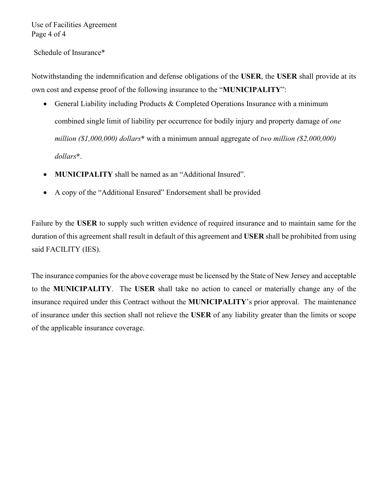Use of Facilities Agreement Page 4 of 4

Schedule of Insurance\*

Notwithstanding the indemnification and defense obligations of the **USER**, the **USER** shall provide at its own cost and expense proof of the following insurance to the "**MUNICIPALITY**":

- General Liability including Products & Completed Operations Insurance with a minimum combined single limit of liability per occurrence for bodily injury and property damage of *one million (\$1,000,000) dollars***\*** with a minimum annual aggregate of *two million (\$2,000,000) dollars***\***.
- **MUNICIPALITY** shall be named as an "Additional Insured".
- A copy of the "Additional Ensured" Endorsement shall be provided

Failure by the **USER** to supply such written evidence of required insurance and to maintain same for the duration of this agreement shall result in default of this agreement and **USER** shall be prohibited from using said FACILITY (IES).

The insurance companies for the above coverage must be licensed by the State of New Jersey and acceptable to the **MUNICIPALITY**. The **USER** shall take no action to cancel or materially change any of the insurance required under this Contract without the **MUNICIPALITY**'s prior approval. The maintenance of insurance under this section shall not relieve the **USER** of any liability greater than the limits or scope of the applicable insurance coverage.